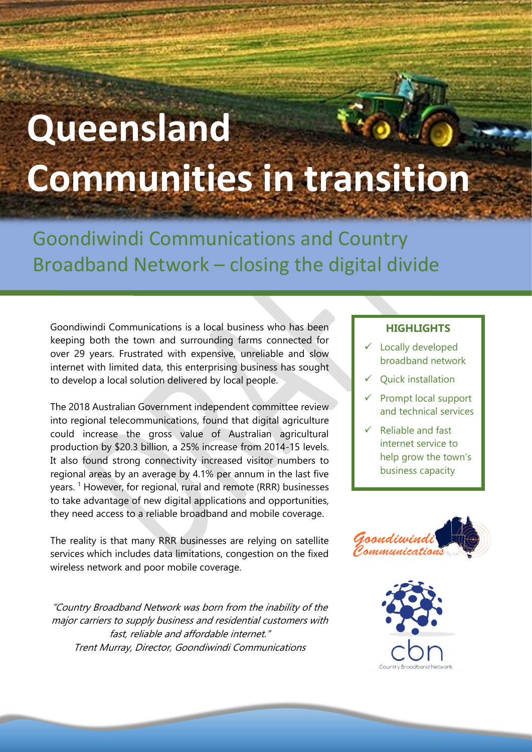## **Queensland Communities in transition**

Goondiwindi Communications and Country Broadband Network – closing the digital divide

Goondiwindi Communications is a local business who has been keeping both the town and surrounding farms connected for over 29 years. Frustrated with expensive, unreliable and slow internet with limited data, this enterprising business has sought to develop a local solution delivered by local people.

The 2018 Australian Government independent committee review into regional telecommunications, found that digital agriculture could increase the gross value of Australian agricultural production by \$20.3 billion, a 25% increase from 2014-15 levels. It also found strong connectivity increased visitor numbers to regional areas by an average by 4.1% per annum in the last five years.<sup>1</sup> However, for regional, rural and remote (RRR) businesses to take advantage of new digital applications and opportunities, they need access to a reliable broadband and mobile coverage.

The reality is that many RRR businesses are relying on satellite services which includes data limitations, congestion on the fixed wireless network and poor mobile coverage.

"Country Broadband Network was born from the inability of the major carriers to supply business and residential customers with fast, reliable and affordable internet." Trent Murray, Director, Goondiwindi Communications

## **HIGHLIGHTS**

- ✓ Locally developed broadband network
- ✓ Quick installation
- Prompt local support and technical services
- $\checkmark$  Reliable and fast internet service to help grow the town's business capacity